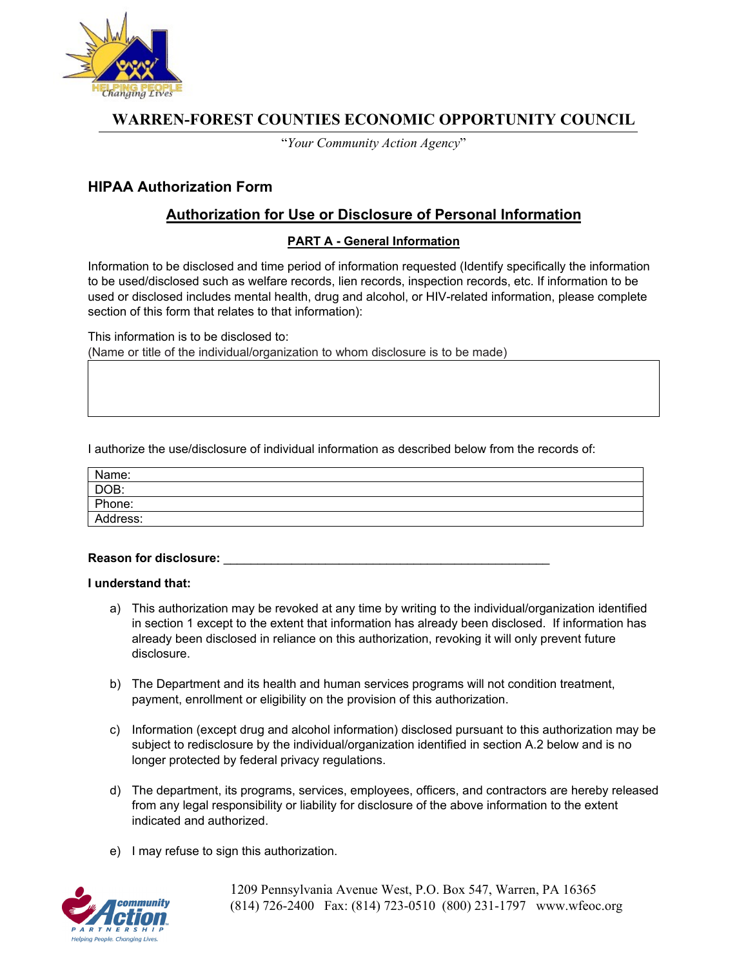

# **WARREN-FOREST COUNTIES ECONOMIC OPPORTUNITY COUNCIL**

"*Your Community Action Agency*"

## **HIPAA Authorization Form**

### **Authorization for Use or Disclosure of Personal Information**

### **PART A - General Information**

Information to be disclosed and time period of information requested (Identify specifically the information to be used/disclosed such as welfare records, lien records, inspection records, etc. If information to be used or disclosed includes mental health, drug and alcohol, or HIV-related information, please complete section of this form that relates to that information):

This information is to be disclosed to: (Name or title of the individual/organization to whom disclosure is to be made)

I authorize the use/disclosure of individual information as described below from the records of:

| Name:    |  |
|----------|--|
| DOB:     |  |
| Phone:   |  |
| Address: |  |

#### **Reason for disclosure:** \_\_\_\_\_\_\_\_\_\_\_\_\_\_\_\_\_\_\_\_\_\_\_\_\_\_\_\_\_\_\_\_\_\_\_\_\_\_\_\_\_\_\_\_\_\_\_\_

#### **I understand that:**

- a) This authorization may be revoked at any time by writing to the individual/organization identified in section 1 except to the extent that information has already been disclosed. If information has already been disclosed in reliance on this authorization, revoking it will only prevent future disclosure.
- b) The Department and its health and human services programs will not condition treatment, payment, enrollment or eligibility on the provision of this authorization.
- c) Information (except drug and alcohol information) disclosed pursuant to this authorization may be subject to redisclosure by the individual/organization identified in section A.2 below and is no longer protected by federal privacy regulations.
- d) The department, its programs, services, employees, officers, and contractors are hereby released from any legal responsibility or liability for disclosure of the above information to the extent indicated and authorized.
- e) I may refuse to sign this authorization.



 1209 Pennsylvania Avenue West, P.O. Box 547, Warren, PA 16365 (814) 726-2400 Fax: (814) 723-0510 (800) 231-1797 www.wfeoc.org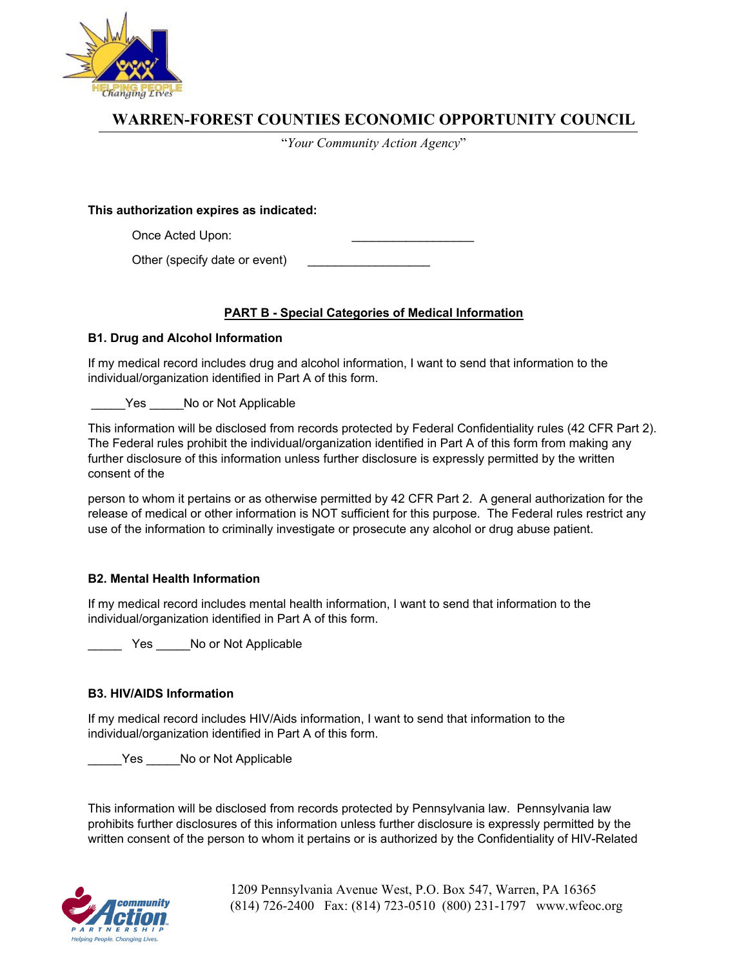

# **WARREN-FOREST COUNTIES ECONOMIC OPPORTUNITY COUNCIL**

"*Your Community Action Agency*"

**This authorization expires as indicated:** 

Once Acted Upon:

Other (specify date or event)

### **PART B - Special Categories of Medical Information**

### **B1. Drug and Alcohol Information**

If my medical record includes drug and alcohol information, I want to send that information to the individual/organization identified in Part A of this form.

Yes No or Not Applicable

This information will be disclosed from records protected by Federal Confidentiality rules (42 CFR Part 2). The Federal rules prohibit the individual/organization identified in Part A of this form from making any further disclosure of this information unless further disclosure is expressly permitted by the written consent of the

person to whom it pertains or as otherwise permitted by 42 CFR Part 2. A general authorization for the release of medical or other information is NOT sufficient for this purpose. The Federal rules restrict any use of the information to criminally investigate or prosecute any alcohol or drug abuse patient.

### **B2. Mental Health Information**

If my medical record includes mental health information, I want to send that information to the individual/organization identified in Part A of this form.

Yes No or Not Applicable

### **B3. HIV/AIDS Information**

If my medical record includes HIV/Aids information, I want to send that information to the individual/organization identified in Part A of this form.

Yes No or Not Applicable

This information will be disclosed from records protected by Pennsylvania law. Pennsylvania law prohibits further disclosures of this information unless further disclosure is expressly permitted by the written consent of the person to whom it pertains or is authorized by the Confidentiality of HIV-Related



 1209 Pennsylvania Avenue West, P.O. Box 547, Warren, PA 16365 (814) 726-2400 Fax: (814) 723-0510 (800) 231-1797 www.wfeoc.org